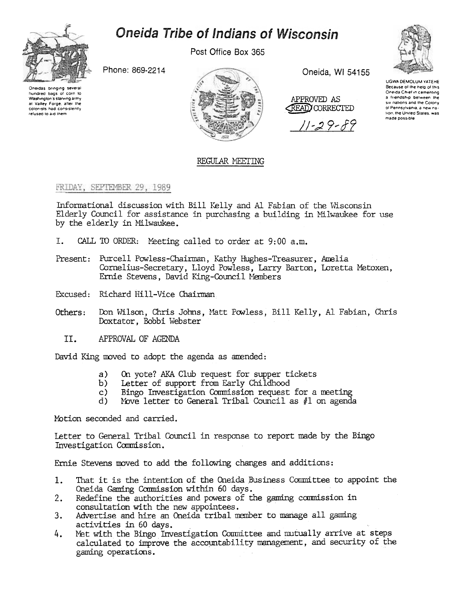

# Oneida Tribe of Indians of Wisconsin

Post Office Box 365

Phone: 869-2214

Oneidas bringing several hundred bags of corn to Washington's starving army at Valley Forge, after the colonists had consistently refused to aid them



Oneida, WI 54155

APPROVED AS **READ CORRECTED** 

11-29-89



UGWA DEMOLUM YATEHE Because of the help of this Oneida Chief in cementing a friendship between the six nations and the Colony ol Pennsylvania, a new nation, the United States, was made possible

# REGULAR MEETING

## FRIDAY, SEPTEMBER 29, 1989

Informational discussion with Bill Kelly and Al Fabian of the Wisconsin Elderly Council for assistance in purchasing a building in Milwaukee for use by the elderly in Milwaukee.

- I. CALL TO ORDER: Meeting called to order at 9:00 a.m.
- Present: Purcell Powless-Chairman, Kathy Hughes-Treasurer, Amelia Cornelius-Secretary, Lloyd Powless, Larry Barton, Loretta Metoxen, Ernie Stevens, David King-Council Members
- Excused: Richard Hill-Vice Chairman
- Don Wilson, Chris Johns, Matt Powless, Bill Kelly, Al Fabian, Chris Others: Doxtator, Bobbi Webster
	- II. APPROVAL OF AGENDA

David King moved to adopt the agenda as amended:

- On yote? AKA Club request for supper tickets a)
- Letter of support from Early Childhood b)
- Bingo Investigation Commission request for a meeting  $c)$
- Nove letter to General Tribal Council as  $#1$  on agenda d).

Motion seconded and carried.

Letter to General Tribal Council in response to report made by the Bingo Investigation Commission.

Ernie Stevens moved to add the following changes and additions:

- That it is the intention of the Oneida Business Committee to appoint the 1. Oneida Gaming Commission within 60 days.
- Redefine the authorities and powers of the gaming commission in  $2.$ consultation with the new appointees.
- $3.$ Advertise and hire an Oneida tribal member to manage all gaming activities in 60 days.
- Met with the Bingo Investigation Committee and mutually arrive at steps 4. calculated to improve the accountability management, and security of the gaming operations.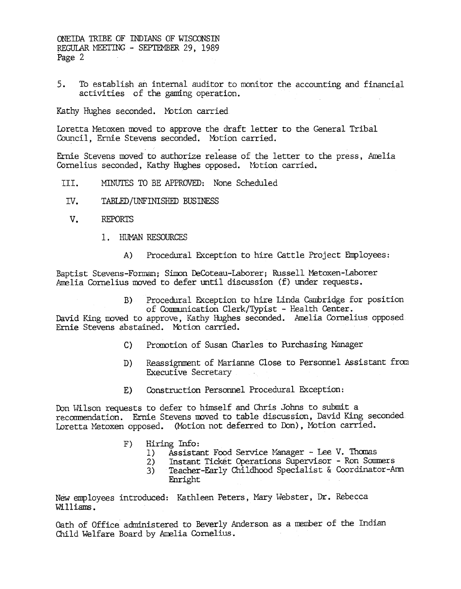5. To establish an internal auditor to monitor the accounting and financial activities of the gaming operation.

Kathy Hughes seconded. Motion carried

Loretta Metoxen moved to approve the draft letter to the General Tribal Council, Ernie Stevens seconded. Motion carried. .<br>.

Ernie Stevens moved to authorize release of the letter to the press, Ameli Cornelius seconded, Kathy Hughes opposed. Motion carried.

- MTh'UIES TO BE APPROVED: None Scheduled TTT.
- IV. TABLED /UNFINISHED BUSINESS
- v. REPORTS
	- 1. HUMAN RESOURCES
		- Procedural Exception to hire Cattle Project Employees:  $A)$

Baptist Stevens-Forman; Simon DeCoteau-Laborer; Russell Metoxen-Laborer Amelia Cornelius moved to defer until discussion (f) under requests.

> B) Procedural EKception to hire Linda Cambridge for position of Communication Clerk/Typist - Health Center.

David King moved to approve, Kathy Hughes seconded. Amelia Cornelius opposed Ernie Stevens abstained. Motion carried.

- C) Promotion of Susan Charles to Purchasing Manager
- Reassignment of Marianne Close to Personnel Assistant from Executive Secretary D)
- E) Construction Personnel Procedural Exception:

Don Wilson requests to defer to himself and Chris Johns to submit a recommendation. Ernie Stevens moved to table discussion, David King seconded Loretta Metoxen opposed. (Motion not deferred to Don), Motion carried.

- F) Hiring Info:
	- Assistant Food Service Manager Lee V. Thomas
	- 2) Instant Tidket Operations Supervisor -Ron Sommers
	- 3) Teacher-Early Childhood Specialist & Coordinator-Ann Enright

New employees introduced: Kathleen Peters, Mary Webster, Dr. Rebecca Williams .

Oath of Office administered to Beverly Anderson as a member of the Indian Child Welfare Board by Amelia Cornelius.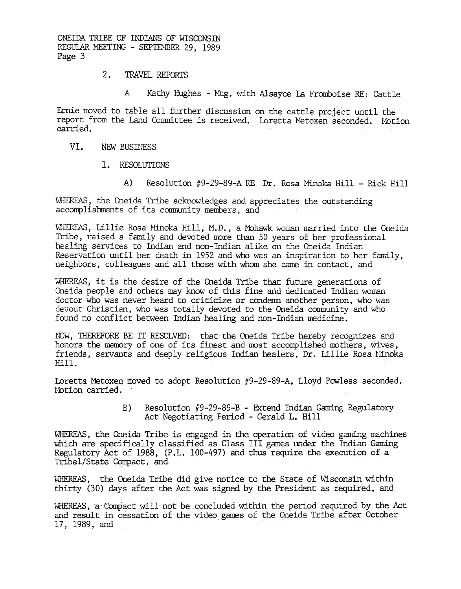### 2. TRAVEL REPORTS

A Kathy Hughes - Mtg. with Alsayce La Fromboise RE: Cattle

Ernie moved to table all further discussion on the cattle project until the report from the Land Committee is received. Loretta Metoxen seconded. Motion carried.

#### VI. NEW BUSINESS

- 1. RESOLUTIONS
	- A) Resolution  $#9-29-89-A RE$  Dr. Rosa Minoka Hill Rick Hill

WHEREAS, the Oneida Tribe acknowledges and appreciates the outstanding. accomplishments of its community members, and

WHEREAS, Lillie Rosa Minoka Hill, M.D., a Mohawk woman married into the Oneida Tribe, raised a family and devoted more than SO years of her professional healing services to Indian and non-Indian alike on the Oneida Indian Reservation until her death in 1952 and who was an inspiration to her family, neighbors, colleagues and all those with whom she came in contact, and

WHEREAS, it is the desire of the Oneida Tribe that future generations of Oneida people and others may know of this fine and dedicated Indian woman doctor who was never heard to criticize or condemn another person, who was devout Christian, who was totally devoted to the Oneida community and who found no conflict between Indian healing and non-Indian medicine.

NOW, THEREFORE BE IT RESOLVED: that the Oneida Tribe hereby recognizes and honors the memory of one of its finest and most accomplished mothers, wives, friends, servants and deeply religious Indian healers, Dr. Lillie Rosa Minoka Hill.

Loretta Metoxen moved to adopt Resolution #9-29-89-A, Lloyd Powless seconded. Motion carried.

> B) Resolution #9-29-89-B - Extend Indian Gaming Regulatory Act Negotiating Period - Gerald L. Hill

WHEREAS, the Oneida Tribe is engaged in the operation of video gaming machines which are specifically classified as Class III games under the Indian Gaming Regulatory Act of 1988, (P.L. 100-497) and thus require the execution of a Tribal/State Compact, and

WHEREAS, the Oneida Tribe did give notice to the State of Wisconsin within thirty (30) days after the Act was signed by the President as required, and

WHEREAS, a Compact will not be concluded within the period required by the Act and result in cessation of the video games of the Oneida Tribe after October 17, 1989, and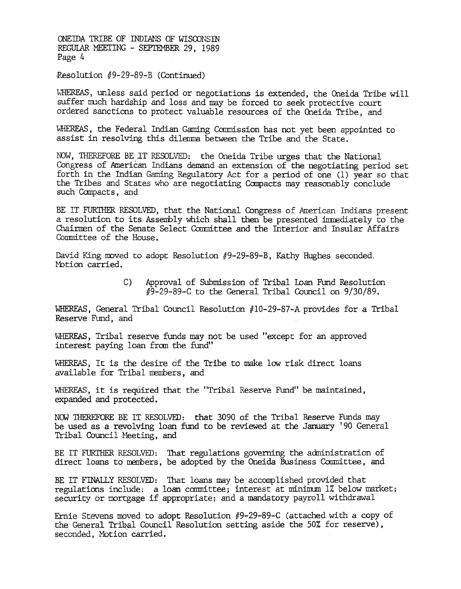Resolution #9-29-89-B (Continued)

WHEREAS, unless said period or negotiations is extended, the Oneida Tribe will suffer much hardship and loss and may be forced to seek protective court ordered sanctions to protect valuable resources of the Oneida Tribe, and

WHEREAS, the Federal Indian Gaming Commission has not yet been appointed to assist in resolving this dilemma between the Tribe and the State.

NOW, THEREFORE BE IT RESOLVED: the Oneida Tribe urges that the National Congress of American Indians demand an extension of the negotiating period set forth in the Indian Gaming Regulatory Act for a period of one (1) year so that the Tribes and States who are negotiating Canpacts may reasonably conclude such Compacts, and

BE IT FURTHER RESOLVED, that the National Congress of American Indians present a resolution to its Assembly which shall then be presented immediately to the Chairmen of the Senate Select Committee and the Interior and Insular Affairs Committee of the House.

David King moved to adopt Resolution  $#9-29-89-8$ , Kathy Hughes seconded. Motion carried.

> C) Approval of Submission of Tribal Loan Fund Resolution  $\sqrt[4]{9}$ -29-89-C to the General Tribal Council on 9/30/89.

WHEREAS, General Tribal Council Resolution #10-29-87-A provides for a Tribal Reserve Fund, and

WHEREAS, Tribal reserve funds may not be used "except for an approved interest paying loan from the fund'!

WHEREAS, It is the desire of the Tribe to make low risk direct loans available for Tribal members, and

WHEREAS, it is required that the "Tribal Reserve Fund" be maintained, expanded and protected.

NOW THEREFORE BE IT RESOLVED: that 3090 of the Tribal Reserve Funds may be used as a revolving loan fund to be reviewed at the January 190 General Tribal Council Meeting, and

BE IT FURTHER RESOLVED: That regulations governing the administration of direct loans to members, be adopted by the Oneida Business Committee, and

BE IT FINALLY RESOLVED: That loans may be accomplished provided that regulations include: a loan committee; interest at minimum 1% below market; security or mortgage if appropriate; and a mandatory payroll withdrawal

Ernie Stevens moved to adopt Resolution  $#9-29-89-C$  (attached with a copy of the General Tribal Council Resolution setting aside the 50% for reserve). seconded. Motion carried.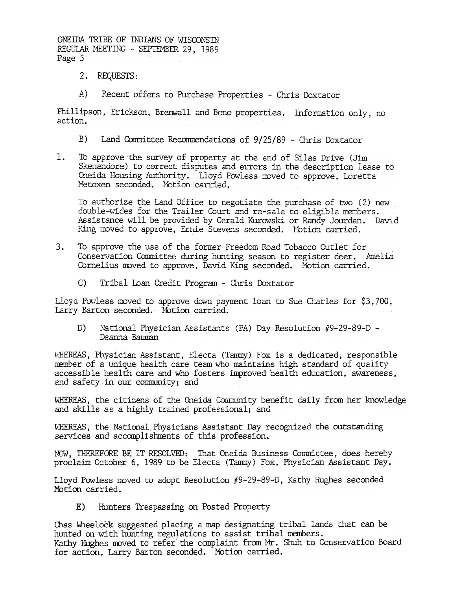- 2. REQUESTS:
- A) Recent offers to Purchase Properties - Chris Doxtator

Phillipson, Erickson, Brenwall and Beno properties. Information only, no action.

- B) Land Committee Recommendations of 9/25/89 Chris Doxtator
- $1.$ To approve the survey of property at the end of Silas Drive (Jim Skenandore) to correct disputes and errors in the description lease to Oneida Housing Authority. Lloyd Powless moved to approve, Loretta Metoxen seconded. Motion carried.

To authorize the Land Office to negotiate the purchase of two (2) new double-wides for the Trailer Court and re-sale to eligible members. Assistance will be provided by Gerald Kurowski or Randy Jourdan. David King moved to approve, Ernie Stevens seconded. Notion carried.

- $3.$ To approve the use of the former Freedom Road Tobacco Outlet for Conservation Committee during hunting season to register deer. Amelia Cornelius moved to approve, David King seconded. Motion carried.
	- Tribal Loan Credit Program Chris Doxtator  $\mathcal{C}$

Lloyd Powless moved to approve down payment loan to Sue Charles for \$3,700, Larry Barton seconded. Motion carried.

National Physician Assistants (PA) Day Resolution #9-29-89-D -D) Deanna Bauman

WHEREAS, Physician Assistant, Electa (Tammy) Fox is a dedicated, responsible member of a unique health care team who maintains high standard of quality accessible health care and who fosters improved health education, awareness, and safety in our community; and

WHEREAS, the citizens of the Oneida Community benefit daily from her knowledge and skills as a highly trained professional; and

WHEREAS, the National Physicians Assistant Day recognized the outstanding services and accomplishments of this profession.

NOW, THEREFORE BE IT RESOLVED: That Oneida Business Committee, does hereby proclaim October 6, 1989 to be Electa (Tammy) Fox, Physician Assistant Day.

Lloyd Powless moved to adopt Resolution #9-29-89-D, Kathy Hughes seconded Motion carried.

Hunters Trespassing on Posted Property E)

Chas Wheelock suggested placing a map designating tribal lands that can be hunted on with hunting regulations to assist tribal members. Kathy Hughes moved to refer the complaint from Mr. Shuh to Conservation Board for action, Larry Barton seconded. Motion carried.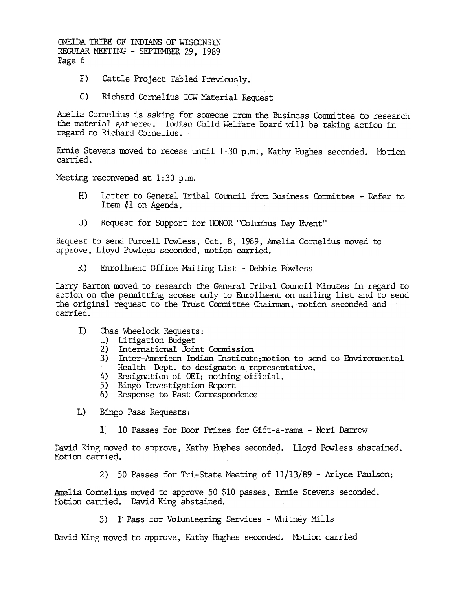- F) Cattle Project Tabled Previously.
- G) Richard Cornelius ICW Material Request

Amelia Cornelius is asking for someone from the Business Committee to research the material gathered. Indian Child Welfare Board will be taking action in regard to Richard Cornelius.

Ernie Stevens moved to recess until  $1:30$  p.m., Kathy Hughes seconded. Motion carried.

Meeting reconvened at  $1:30$  p.m.

- H) Letter to General Tribal Council from Business Comnittee -Refer to Item  $#1$  on Agenda.
- J) Request for Support for HONOR "Columbus Day Event"

Request to send Purcell Powless, Oct. 8, 1989, Amelia Cornelius moved to approve, Lloyd Powless seconded, motion carried.

K) Enrollment Office Mailing List - Debbie Powless

Larry Barton moved to research the General Tribal Council Minutes in regard to action on the permitting access only to Enrollment on mailing list and to send the original request to the Trust Committee Chairman, motion seconded and carried.

- $I$ Chas wheelock Requests:
	- 1) Litigation Budget
	- 2) International Joint Commissio
	- 3) Inter-American Indian Institute;motion to send to Envirorment Health Dept. to designate a representative.
	- 4) Resignation of OEI; nothing offici
	- 5) Bingo Investigation Report
	- 6) Response to Past Correspondence
- L) Bingo Pass Requests:
	- 1 10 Passes for Door Prizes for Gift-a-rama Nori Damrow

David King moved to approve, Kathy Hughes seconded. Lloyd Powless abstaine Motion carried.

2) 50 Passes for Tri-State Meeting of 11/13/89 - Arlyce Paulson;

Amelia Cornelius moved to approve 50 \$10 passes, Ernie Stevens seconded. Notion carried. David King abstained.

3) 1 Pass for Volunteering Services - Whitney Mills

David King moved to approve, Kathy Hughes seconded. Motion carried